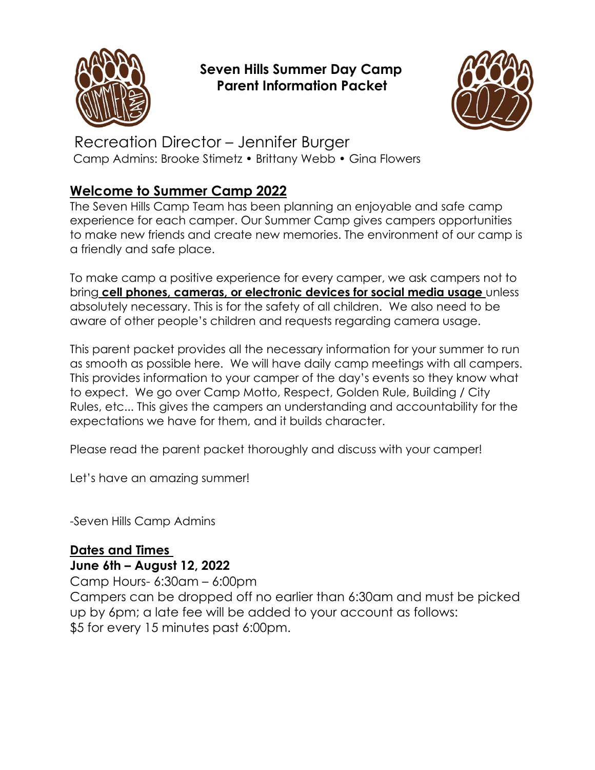

# **Seven Hills Summer Day Camp Parent Information Packet**



# Recreation Director – Jennifer Burger Camp Admins: Brooke Stimetz • Brittany Webb • Gina Flowers

# **Welcome to Summer Camp 2022**

The Seven Hills Camp Team has been planning an enjoyable and safe camp experience for each camper. Our Summer Camp gives campers opportunities to make new friends and create new memories. The environment of our camp is a friendly and safe place.

To make camp a positive experience for every camper, we ask campers not to bring **cell phones, cameras, or electronic devices for social media usage** unless absolutely necessary. This is for the safety of all children. We also need to be aware of other people's children and requests regarding camera usage.

This parent packet provides all the necessary information for your summer to run as smooth as possible here. We will have daily camp meetings with all campers. This provides information to your camper of the day's events so they know what to expect. We go over Camp Motto, Respect, Golden Rule, Building / City Rules, etc... This gives the campers an understanding and accountability for the expectations we have for them, and it builds character.

Please read the parent packet thoroughly and discuss with your camper!

Let's have an amazing summer!

-Seven Hills Camp Admins

# **Dates and Times June 6th – August 12, 2022**

Camp Hours- 6:30am – 6:00pm

Campers can be dropped off no earlier than 6:30am and must be picked up by 6pm; a late fee will be added to your account as follows: \$5 for every 15 minutes past 6:00pm.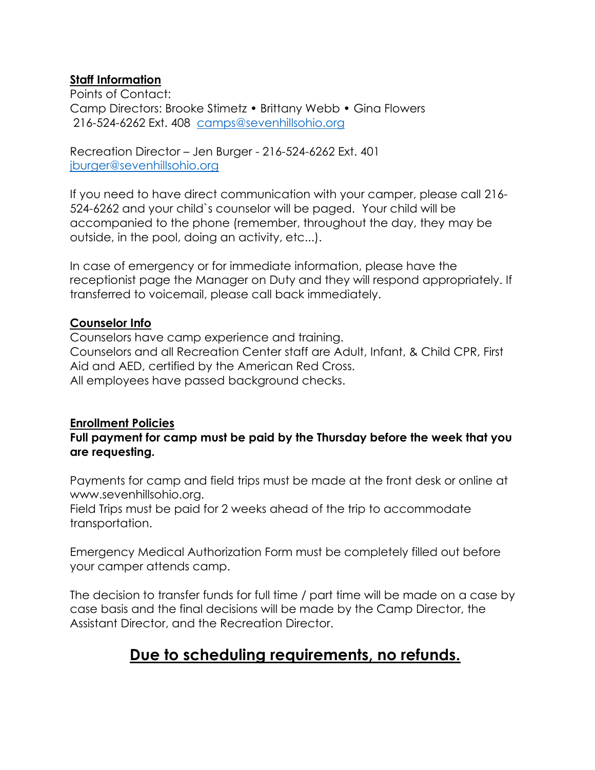### **Staff Information**

Points of Contact: Camp Directors: Brooke Stimetz • Brittany Webb • Gina Flowers 216-524-6262 Ext. 408 [camps@sevenhillsohio.org](mailto:camps@sevenhillsohio.org)

Recreation Director – Jen Burger - 216-524-6262 Ext. 401 [jburger@sevenhillsohio.org](mailto:jburger@sevenhillsohio.org)

If you need to have direct communication with your camper, please call 216- 524-6262 and your child`s counselor will be paged. Your child will be accompanied to the phone (remember, throughout the day, they may be outside, in the pool, doing an activity, etc...).

In case of emergency or for immediate information, please have the receptionist page the Manager on Duty and they will respond appropriately. If transferred to voicemail, please call back immediately.

# **Counselor Info**

Counselors have camp experience and training. Counselors and all Recreation Center staff are Adult, Infant, & Child CPR, First Aid and AED, certified by the American Red Cross. All employees have passed background checks.

# **Enrollment Policies**

**Full payment for camp must be paid by the Thursday before the week that you are requesting.**

Payments for camp and field trips must be made at the front desk or online at www.sevenhillsohio.org.

Field Trips must be paid for 2 weeks ahead of the trip to accommodate transportation.

Emergency Medical Authorization Form must be completely filled out before your camper attends camp.

The decision to transfer funds for full time / part time will be made on a case by case basis and the final decisions will be made by the Camp Director, the Assistant Director, and the Recreation Director.

# **Due to scheduling requirements, no refunds.**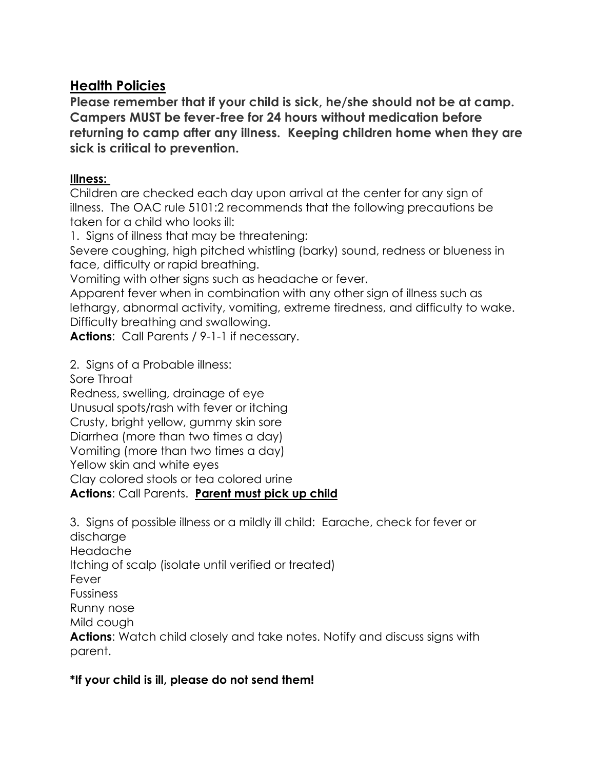# **Health Policies**

**Please remember that if your child is sick, he/she should not be at camp. Campers MUST be fever-free for 24 hours without medication before returning to camp after any illness. Keeping children home when they are sick is critical to prevention.**

# **Illness:**

Children are checked each day upon arrival at the center for any sign of illness. The OAC rule 5101:2 recommends that the following precautions be taken for a child who looks ill:

1. Signs of illness that may be threatening:

Severe coughing, high pitched whistling (barky) sound, redness or blueness in face, difficulty or rapid breathing.

Vomiting with other signs such as headache or fever.

Apparent fever when in combination with any other sign of illness such as lethargy, abnormal activity, vomiting, extreme tiredness, and difficulty to wake. Difficulty breathing and swallowing.

**Actions**: Call Parents / 9-1-1 if necessary.

2. Signs of a Probable illness:

Sore Throat

Redness, swelling, drainage of eye Unusual spots/rash with fever or itching Crusty, bright yellow, gummy skin sore Diarrhea (more than two times a day) Vomiting (more than two times a day) Yellow skin and white eyes Clay colored stools or tea colored urine **Actions**: Call Parents. **Parent must pick up child**

3. Signs of possible illness or a mildly ill child: Earache, check for fever or discharge Headache

Itching of scalp (isolate until verified or treated)

Fever

Fussiness

Runny nose

Mild cough

**Actions**: Watch child closely and take notes. Notify and discuss signs with parent.

# **\*If your child is ill, please do not send them!**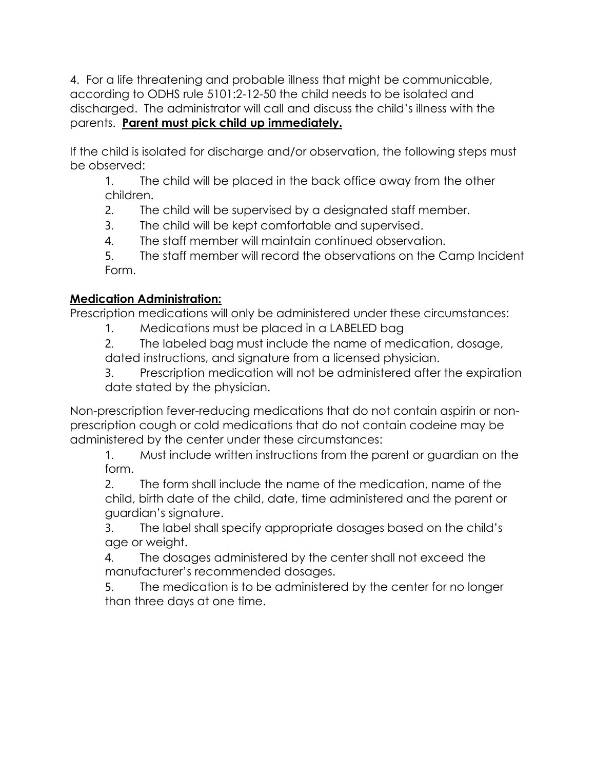4. For a life threatening and probable illness that might be communicable, according to ODHS rule 5101:2-12-50 the child needs to be isolated and discharged. The administrator will call and discuss the child's illness with the parents. **Parent must pick child up immediately.**

If the child is isolated for discharge and/or observation, the following steps must be observed:

1. The child will be placed in the back office away from the other children.

2. The child will be supervised by a designated staff member.

3. The child will be kept comfortable and supervised.

4. The staff member will maintain continued observation.

5. The staff member will record the observations on the Camp Incident Form.

# **Medication Administration:**

Prescription medications will only be administered under these circumstances:

1. Medications must be placed in a LABELED bag

2. The labeled bag must include the name of medication, dosage, dated instructions, and signature from a licensed physician.

3. Prescription medication will not be administered after the expiration date stated by the physician.

Non-prescription fever-reducing medications that do not contain aspirin or nonprescription cough or cold medications that do not contain codeine may be administered by the center under these circumstances:

1. Must include written instructions from the parent or guardian on the form.

2. The form shall include the name of the medication, name of the child, birth date of the child, date, time administered and the parent or guardian's signature.

3. The label shall specify appropriate dosages based on the child's age or weight.

4. The dosages administered by the center shall not exceed the manufacturer's recommended dosages.

5. The medication is to be administered by the center for no longer than three days at one time.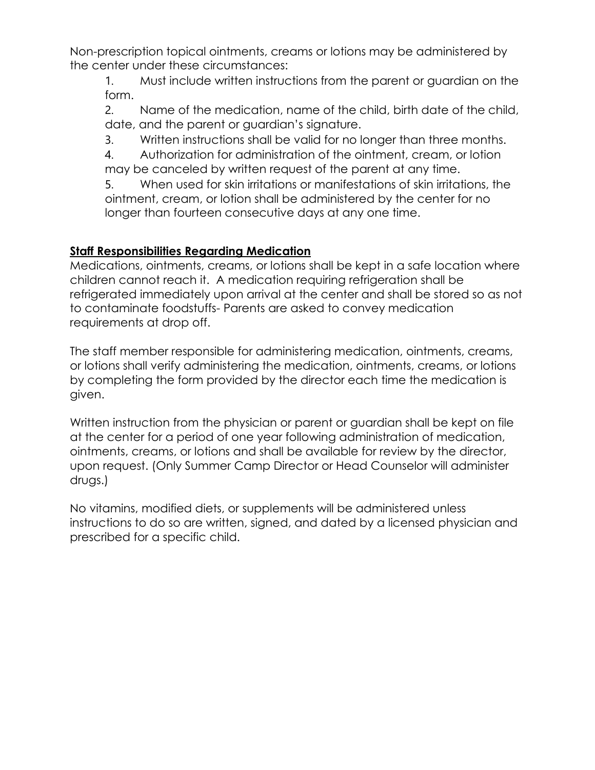Non-prescription topical ointments, creams or lotions may be administered by the center under these circumstances:

1. Must include written instructions from the parent or guardian on the form.

2. Name of the medication, name of the child, birth date of the child, date, and the parent or guardian's signature.

3. Written instructions shall be valid for no longer than three months.

4. Authorization for administration of the ointment, cream, or lotion may be canceled by written request of the parent at any time.

5. When used for skin irritations or manifestations of skin irritations, the ointment, cream, or lotion shall be administered by the center for no longer than fourteen consecutive days at any one time.

# **Staff Responsibilities Regarding Medication**

Medications, ointments, creams, or lotions shall be kept in a safe location where children cannot reach it. A medication requiring refrigeration shall be refrigerated immediately upon arrival at the center and shall be stored so as not to contaminate foodstuffs- Parents are asked to convey medication requirements at drop off.

The staff member responsible for administering medication, ointments, creams, or lotions shall verify administering the medication, ointments, creams, or lotions by completing the form provided by the director each time the medication is given.

Written instruction from the physician or parent or guardian shall be kept on file at the center for a period of one year following administration of medication, ointments, creams, or lotions and shall be available for review by the director, upon request. (Only Summer Camp Director or Head Counselor will administer drugs.)

No vitamins, modified diets, or supplements will be administered unless instructions to do so are written, signed, and dated by a licensed physician and prescribed for a specific child.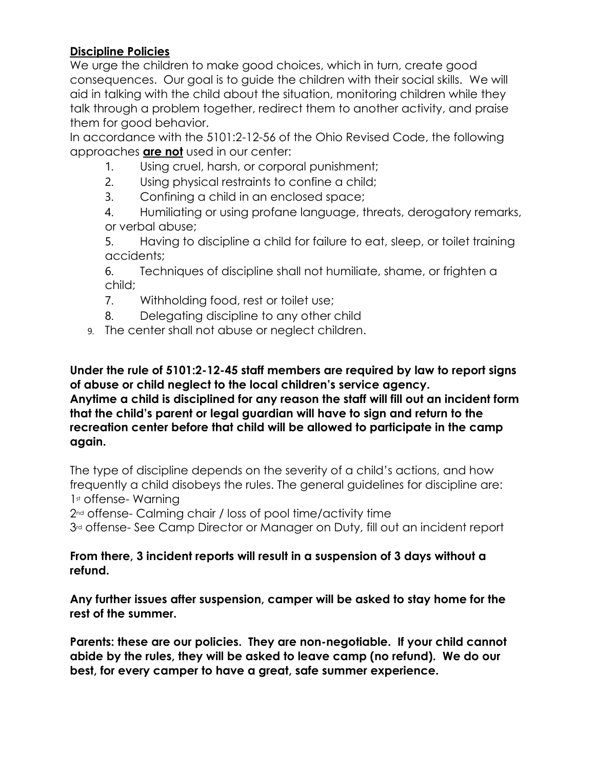## **Discipline Policies**

We urge the children to make good choices, which in turn, create good consequences. Our goal is to guide the children with their social skills. We will aid in talking with the child about the situation, monitoring children while they talk through a problem together, redirect them to another activity, and praise them for good behavior.

In accordance with the 5101:2-12-56 of the Ohio Revised Code, the following approaches **are not** used in our center:

- 1. Using cruel, harsh, or corporal punishment;
- 2. Using physical restraints to confine a child;
- 3. Confining a child in an enclosed space;
- 4. Humiliating or using profane language, threats, derogatory remarks, or verbal abuse;

5. Having to discipline a child for failure to eat, sleep, or toilet training accidents;

6. Techniques of discipline shall not humiliate, shame, or frighten a child;

7. Withholding food, rest or toilet use;

- 8. Delegating discipline to any other child
- 9. The center shall not abuse or neglect children.

**Under the rule of 5101:2-12-45 staff members are required by law to report signs of abuse or child neglect to the local children's service agency. Anytime a child is disciplined for any reason the staff will fill out an incident form that the child's parent or legal guardian will have to sign and return to the recreation center before that child will be allowed to participate in the camp again.**

The type of discipline depends on the severity of a child's actions, and how frequently a child disobeys the rules. The general guidelines for discipline are: 1st offense-Warning

2nd offense- Calming chair / loss of pool time/activity time

3<sup>rd</sup> offense- See Camp Director or Manager on Duty, fill out an incident report

#### **From there, 3 incident reports will result in a suspension of 3 days without a refund.**

**Any further issues after suspension, camper will be asked to stay home for the rest of the summer.**

**Parents: these are our policies. They are non-negotiable. If your child cannot abide by the rules, they will be asked to leave camp (no refund). We do our best, for every camper to have a great, safe summer experience.**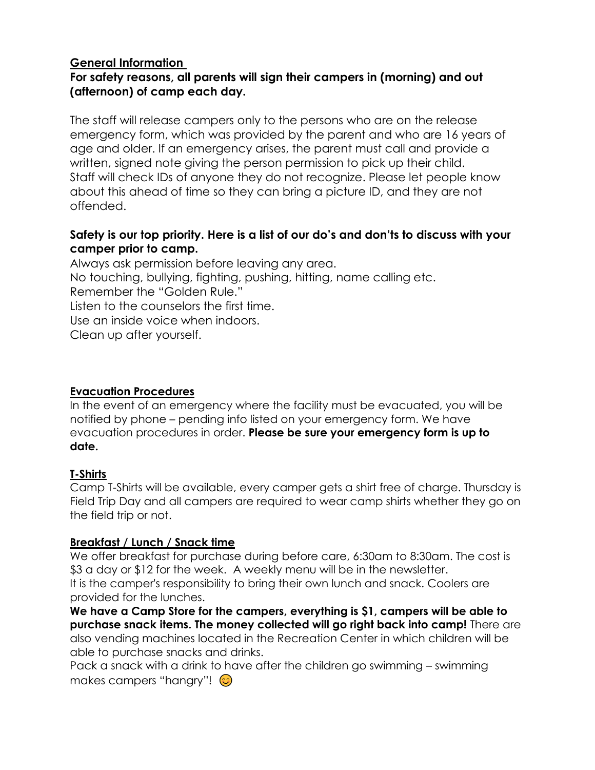## **General Information**

## **For safety reasons, all parents will sign their campers in (morning) and out (afternoon) of camp each day.**

The staff will release campers only to the persons who are on the release emergency form, which was provided by the parent and who are 16 years of age and older. If an emergency arises, the parent must call and provide a written, signed note giving the person permission to pick up their child. Staff will check IDs of anyone they do not recognize. Please let people know about this ahead of time so they can bring a picture ID, and they are not offended.

## **Safety is our top priority. Here is a list of our do's and don'ts to discuss with your camper prior to camp.**

Always ask permission before leaving any area. No touching, bullying, fighting, pushing, hitting, name calling etc. Remember the "Golden Rule." Listen to the counselors the first time. Use an inside voice when indoors. Clean up after yourself.

#### **Evacuation Procedures**

In the event of an emergency where the facility must be evacuated, you will be notified by phone – pending info listed on your emergency form. We have evacuation procedures in order. **Please be sure your emergency form is up to date.**

#### **T-Shirts**

Camp T-Shirts will be available, every camper gets a shirt free of charge. Thursday is Field Trip Day and all campers are required to wear camp shirts whether they go on the field trip or not.

#### **Breakfast / Lunch / Snack time**

We offer breakfast for purchase during before care, 6:30am to 8:30am. The cost is \$3 a day or \$12 for the week. A weekly menu will be in the newsletter. It is the camper's responsibility to bring their own lunch and snack. Coolers are provided for the lunches.

**We have a Camp Store for the campers, everything is \$1, campers will be able to purchase snack items. The money collected will go right back into camp!** There are also vending machines located in the Recreation Center in which children will be able to purchase snacks and drinks.

Pack a snack with a drink to have after the children go swimming – swimming makes campers "hangry"!  $\odot$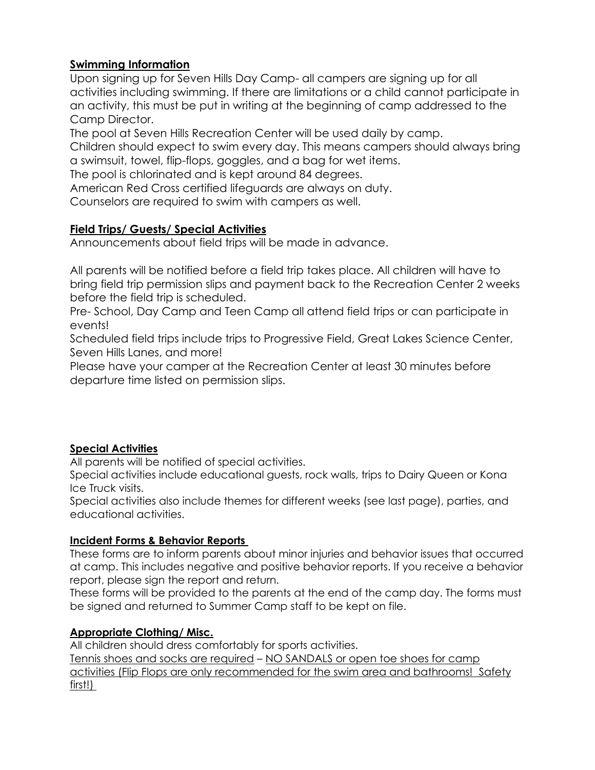#### **Swimming Information**

Upon signing up for Seven Hills Day Camp- all campers are signing up for all activities including swimming. If there are limitations or a child cannot participate in an activity, this must be put in writing at the beginning of camp addressed to the Camp Director.

The pool at Seven Hills Recreation Center will be used daily by camp.

Children should expect to swim every day. This means campers should always bring a swimsuit, towel, flip-flops, goggles, and a bag for wet items.

The pool is chlorinated and is kept around 84 degrees.

American Red Cross certified lifeguards are always on duty.

Counselors are required to swim with campers as well.

#### **Field Trips/ Guests/ Special Activities**

Announcements about field trips will be made in advance.

All parents will be notified before a field trip takes place. All children will have to bring field trip permission slips and payment back to the Recreation Center 2 weeks before the field trip is scheduled.

Pre- School, Day Camp and Teen Camp all attend field trips or can participate in events!

Scheduled field trips include trips to Progressive Field, Great Lakes Science Center, Seven Hills Lanes, and more!

Please have your camper at the Recreation Center at least 30 minutes before departure time listed on permission slips.

#### **Special Activities**

All parents will be notified of special activities.

Special activities include educational guests, rock walls, trips to Dairy Queen or Kona Ice Truck visits.

Special activities also include themes for different weeks (see last page), parties, and educational activities.

#### **Incident Forms & Behavior Reports**

These forms are to inform parents about minor injuries and behavior issues that occurred at camp. This includes negative and positive behavior reports. If you receive a behavior report, please sign the report and return.

These forms will be provided to the parents at the end of the camp day. The forms must be signed and returned to Summer Camp staff to be kept on file.

#### **Appropriate Clothing/ Misc.**

All children should dress comfortably for sports activities. Tennis shoes and socks are required – NO SANDALS or open toe shoes for camp activities (Flip Flops are only recommended for the swim area and bathrooms! Safety first!)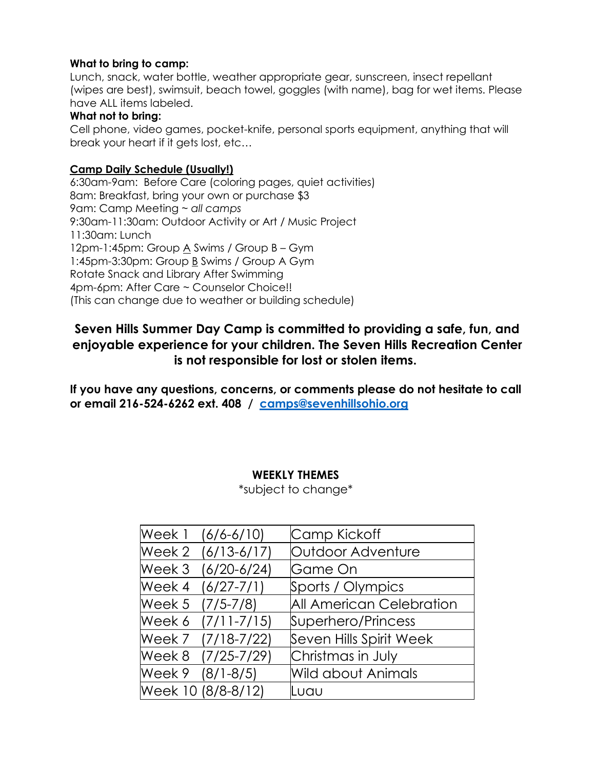#### **What to bring to camp:**

Lunch, snack, water bottle, weather appropriate gear, sunscreen, insect repellant (wipes are best), swimsuit, beach towel, goggles (with name), bag for wet items. Please have ALL items labeled.

#### **What not to bring:**

Cell phone, video games, pocket-knife, personal sports equipment, anything that will break your heart if it gets lost, etc…

#### **Camp Daily Schedule (Usually!)**

6:30am-9am: Before Care (coloring pages, quiet activities) 8am: Breakfast, bring your own or purchase \$3 9am: Camp Meeting ~ *all camps* 9:30am-11:30am: Outdoor Activity or Art / Music Project 11:30am: Lunch 12pm-1:45pm: Group A Swims / Group B – Gym 1:45pm-3:30pm: Group B Swims / Group A Gym Rotate Snack and Library After Swimming 4pm-6pm: After Care ~ Counselor Choice!! (This can change due to weather or building schedule)

# **Seven Hills Summer Day Camp is committed to providing a safe, fun, and enjoyable experience for your children. The Seven Hills Recreation Center is not responsible for lost or stolen items.**

**If you have any questions, concerns, or comments please do not hesitate to call or email 216-524-6262 ext. 408 / [camps@sevenhillsohio.org](mailto:camps@sevenhillsohio.org)**

#### **WEEKLY THEMES**

\*subject to change\*

|                  | Week 1 (6/6-6/10)  | Camp Kickoff                    |
|------------------|--------------------|---------------------------------|
|                  | Week 2 (6/13-6/17) | Outdoor Adventure               |
|                  | Week 3 (6/20-6/24) | Game On                         |
|                  | Week 4 (6/27-7/1)  | Sports / Olympics               |
| Week 5 (7/5-7/8) |                    | <b>All American Celebration</b> |
|                  | Week 6 (7/11-7/15) | Superhero/Princess              |
|                  | Week 7 (7/18-7/22) | Seven Hills Spirit Week         |
|                  | Week 8 (7/25-7/29) | Christmas in July               |
| Week 9 (8/1-8/5) |                    | <b>Wild about Animals</b>       |
|                  | Week 10 (8/8-8/12) | Luau                            |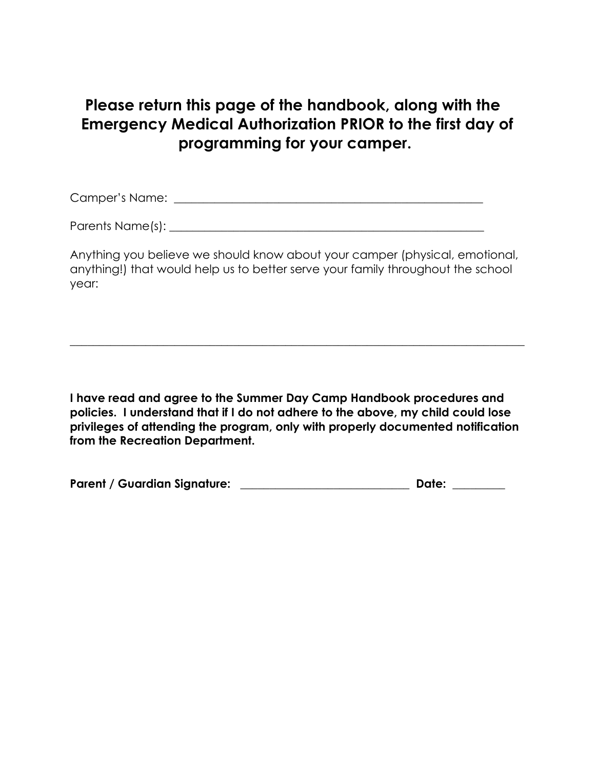# **Please return this page of the handbook, along with the Emergency Medical Authorization PRIOR to the first day of programming for your camper.**

Camper's Name: \_\_\_\_\_\_\_\_\_\_\_\_\_\_\_\_\_\_\_\_\_\_\_\_\_\_\_\_\_\_\_\_\_\_\_\_\_\_\_\_\_\_\_\_\_\_\_\_\_\_\_\_\_

Parents Name(s): **Example 1** and the set of the set of the set of the set of the set of the set of the set of the set of the set of the set of the set of the set of the set of the set of the set of the set of the set of th

Anything you believe we should know about your camper (physical, emotional, anything!) that would help us to better serve your family throughout the school year:

 $\_$  , and the set of the set of the set of the set of the set of the set of the set of the set of the set of the set of the set of the set of the set of the set of the set of the set of the set of the set of the set of th

**I have read and agree to the Summer Day Camp Handbook procedures and policies. I understand that if I do not adhere to the above, my child could lose privileges of attending the program, only with properly documented notification from the Recreation Department.**

| <b>Parent / Guardian Signature:</b> | <b>Date:</b> |
|-------------------------------------|--------------|
|-------------------------------------|--------------|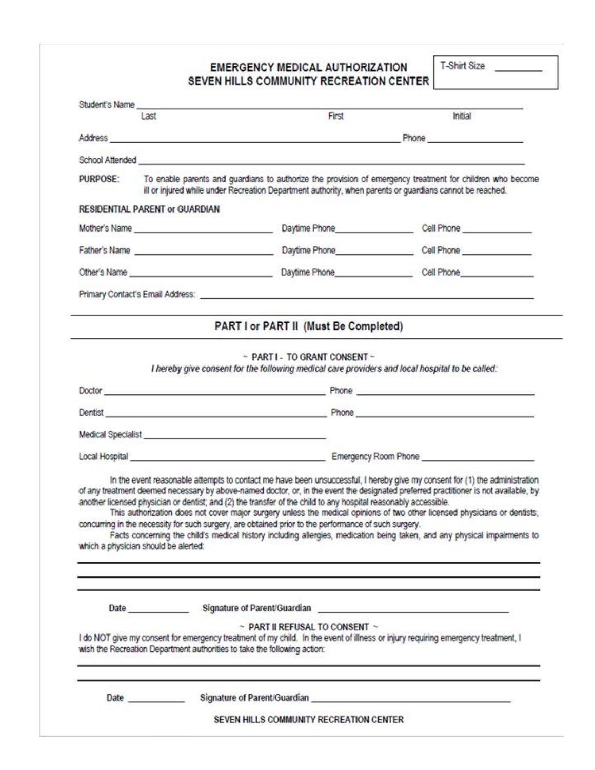#### **EMERGENCY MEDICAL AUTHORIZATION** SEVEN HILLS COMMUNITY RECREATION CENTER

T-Shirt Size

|          | Last                                                                                                                                                                                                                           | First                                                                                                                                                                                                                   | Initial                                                                                                                                                                                                                                                                                                                                                                                                                                                                                                                      |  |  |  |
|----------|--------------------------------------------------------------------------------------------------------------------------------------------------------------------------------------------------------------------------------|-------------------------------------------------------------------------------------------------------------------------------------------------------------------------------------------------------------------------|------------------------------------------------------------------------------------------------------------------------------------------------------------------------------------------------------------------------------------------------------------------------------------------------------------------------------------------------------------------------------------------------------------------------------------------------------------------------------------------------------------------------------|--|--|--|
|          |                                                                                                                                                                                                                                |                                                                                                                                                                                                                         |                                                                                                                                                                                                                                                                                                                                                                                                                                                                                                                              |  |  |  |
|          |                                                                                                                                                                                                                                |                                                                                                                                                                                                                         |                                                                                                                                                                                                                                                                                                                                                                                                                                                                                                                              |  |  |  |
|          |                                                                                                                                                                                                                                | School Attended <b>Attended</b>                                                                                                                                                                                         |                                                                                                                                                                                                                                                                                                                                                                                                                                                                                                                              |  |  |  |
| PURPOSE: | To enable parents and guardians to authorize the provision of emergency treatment for children who become<br>ill or injured while under Recreation Department authority, when parents or guardians cannot be reached.          |                                                                                                                                                                                                                         |                                                                                                                                                                                                                                                                                                                                                                                                                                                                                                                              |  |  |  |
|          | <b>RESIDENTIAL PARENT or GUARDIAN</b>                                                                                                                                                                                          |                                                                                                                                                                                                                         |                                                                                                                                                                                                                                                                                                                                                                                                                                                                                                                              |  |  |  |
|          | Mother's Name entry and the state of the state of the state of the state of the state of the state of the state of the state of the state of the state of the state of the state of the state of the state of the state of the |                                                                                                                                                                                                                         | Daytime Phone Cell Phone                                                                                                                                                                                                                                                                                                                                                                                                                                                                                                     |  |  |  |
|          |                                                                                                                                                                                                                                |                                                                                                                                                                                                                         |                                                                                                                                                                                                                                                                                                                                                                                                                                                                                                                              |  |  |  |
|          |                                                                                                                                                                                                                                |                                                                                                                                                                                                                         |                                                                                                                                                                                                                                                                                                                                                                                                                                                                                                                              |  |  |  |
|          |                                                                                                                                                                                                                                |                                                                                                                                                                                                                         |                                                                                                                                                                                                                                                                                                                                                                                                                                                                                                                              |  |  |  |
|          |                                                                                                                                                                                                                                | PART I or PART II (Must Be Completed)                                                                                                                                                                                   |                                                                                                                                                                                                                                                                                                                                                                                                                                                                                                                              |  |  |  |
|          |                                                                                                                                                                                                                                |                                                                                                                                                                                                                         |                                                                                                                                                                                                                                                                                                                                                                                                                                                                                                                              |  |  |  |
|          |                                                                                                                                                                                                                                | ~ PART I - TO GRANT CONSENT ~<br>I hereby give consent for the following medical care providers and local hospital to be called:                                                                                        |                                                                                                                                                                                                                                                                                                                                                                                                                                                                                                                              |  |  |  |
|          |                                                                                                                                                                                                                                |                                                                                                                                                                                                                         |                                                                                                                                                                                                                                                                                                                                                                                                                                                                                                                              |  |  |  |
|          |                                                                                                                                                                                                                                |                                                                                                                                                                                                                         |                                                                                                                                                                                                                                                                                                                                                                                                                                                                                                                              |  |  |  |
|          |                                                                                                                                                                                                                                |                                                                                                                                                                                                                         |                                                                                                                                                                                                                                                                                                                                                                                                                                                                                                                              |  |  |  |
|          |                                                                                                                                                                                                                                |                                                                                                                                                                                                                         |                                                                                                                                                                                                                                                                                                                                                                                                                                                                                                                              |  |  |  |
|          | Medical Specialist Network of the Contract of the Contract of the Contract of the Contract of the Contract of                                                                                                                  |                                                                                                                                                                                                                         |                                                                                                                                                                                                                                                                                                                                                                                                                                                                                                                              |  |  |  |
|          |                                                                                                                                                                                                                                |                                                                                                                                                                                                                         |                                                                                                                                                                                                                                                                                                                                                                                                                                                                                                                              |  |  |  |
|          | which a physician should be alerted:                                                                                                                                                                                           | another licensed physician or dentist; and (2) the transfer of the child to any hospital reasonably accessible.<br>concurring in the necessity for such surgery, are obtained prior to the performance of such surgery. | In the event reasonable attempts to contact me have been unsuccessful, I hereby give my consent for (1) the administration<br>of any treatment deemed necessary by above-named doctor, or, in the event the designated preferred practitioner is not available, by<br>This authorization does not cover major surgery unless the medical opinions of two other licensed physicians or dentists,<br>Facts concerning the child's medical history including allergies, medication being taken, and any physical impairments to |  |  |  |
|          |                                                                                                                                                                                                                                |                                                                                                                                                                                                                         |                                                                                                                                                                                                                                                                                                                                                                                                                                                                                                                              |  |  |  |
|          |                                                                                                                                                                                                                                |                                                                                                                                                                                                                         |                                                                                                                                                                                                                                                                                                                                                                                                                                                                                                                              |  |  |  |
|          | wish the Recreation Department authorities to take the following action:                                                                                                                                                       | $\sim$ PART II REFUSAL TO CONSENT $\sim$                                                                                                                                                                                | I do NOT give my consent for emergency treatment of my child. In the event of illness or injury requiring emergency treatment, I                                                                                                                                                                                                                                                                                                                                                                                             |  |  |  |
|          | Date and the second state of the second state and state and state and state and state and state and state and state and state and state and state and state and state and state and state and state and state and state and st |                                                                                                                                                                                                                         | Signature of Parent/Guardian entry and the state of Parent/Guardian                                                                                                                                                                                                                                                                                                                                                                                                                                                          |  |  |  |